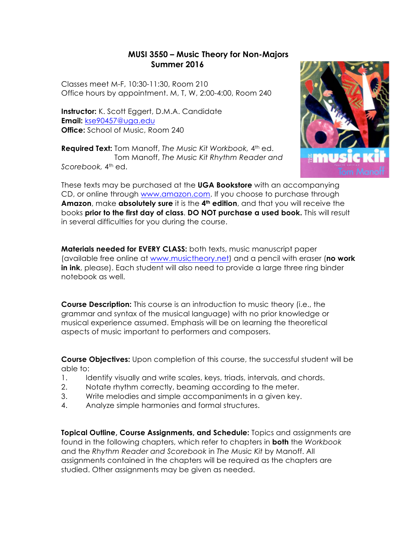# **MUSI 3550 – Music Theory for Non-Majors Summer 2016**

Classes meet M-F, 10:30-11:30, Room 210 Office hours by appointment. M, T, W, 2:00-4:00, Room 240

**Instructor:** K. Scott Eggert, D.M.A. Candidate **Email:** kse90457@uga.edu **Office:** School of Music, Room 240

**Required Text:** Tom Manoff, *The Music Kit Workbook,* 4th ed. Tom Manoff, *The Music Kit Rhythm Reader and Scorebook,* 4th ed.



These texts may be purchased at the **UGA Bookstore** with an accompanying CD, or online through www.amazon.com. If you choose to purchase through **Amazon**, make **absolutely sure** it is the **4th edition**, and that you will receive the books **prior to the first day of class**. **DO NOT purchase a used book.** This will result in several difficulties for you during the course.

**Materials needed for EVERY CLASS:** both texts, music manuscript paper (available free online at www.musictheory.net) and a pencil with eraser (**no work in ink**, please). Each student will also need to provide a large three ring binder notebook as well.

**Course Description:** This course is an introduction to music theory (i.e., the grammar and syntax of the musical language) with no prior knowledge or musical experience assumed. Emphasis will be on learning the theoretical aspects of music important to performers and composers.

**Course Objectives:** Upon completion of this course, the successful student will be able to:

- 1. Identify visually and write scales, keys, triads, intervals, and chords.
- 2. Notate rhythm correctly, beaming according to the meter.
- 3. Write melodies and simple accompaniments in a given key.
- 4. Analyze simple harmonies and formal structures.

**Topical Outline, Course Assignments, and Schedule:** Topics and assignments are found in the following chapters, which refer to chapters in **both** the *Workbook*  and the *Rhythm Reader and Scorebook* in *The Music Kit* by Manoff. All assignments contained in the chapters will be required as the chapters are studied. Other assignments may be given as needed.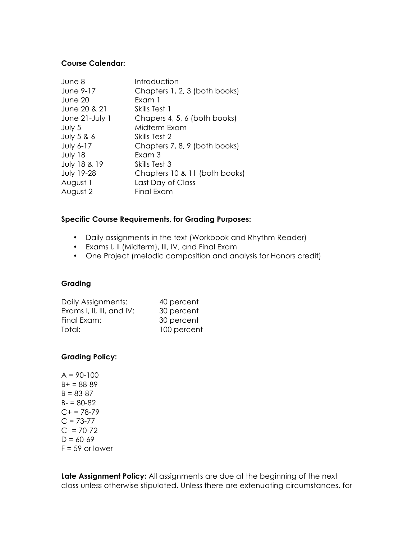## **Course Calendar:**

| June 8                | Introduction                  |
|-----------------------|-------------------------------|
| June 9-17             | Chapters 1, 2, 3 (both books) |
| June 20               | Exam 1                        |
| June 20 & 21          | Skills Test 1                 |
| June 21-July 1        | Chapers 4, 5, 6 (both books)  |
| July 5                | Midterm Exam                  |
| <b>July 5 &amp; 6</b> | Skills Test 2                 |
| <b>July 6-17</b>      | Chapters 7, 8, 9 (both books) |
| July 18               | Fxam 3                        |
| July 18 & 19          | Skills Test 3                 |
| <b>July 19-28</b>     | Chapters 10 & 11 (both books) |
| August 1              | Last Day of Class             |
| August 2              | Final Exam                    |

#### **Specific Course Requirements, for Grading Purposes:**

- Daily assignments in the text (Workbook and Rhythm Reader)
- Exams I, II (Midterm), III, IV, and Final Exam
- One Project (melodic composition and analysis for Honors credit)

## **Grading**

| 40 percent  |
|-------------|
| 30 percent  |
| 30 percent  |
| 100 percent |
|             |

## **Grading Policy:**

| $A = 90 - 100$    |
|-------------------|
| $B+ = 88-89$      |
| $B = 83 - 87$     |
| $B - 80 - 82$     |
| $C+=78-79$        |
| $C = 73-77$       |
| $C = 70-72$       |
| $D = 60 - 69$     |
| $F = 59$ or lower |

**Late Assignment Policy:** All assignments are due at the beginning of the next class unless otherwise stipulated. Unless there are extenuating circumstances, for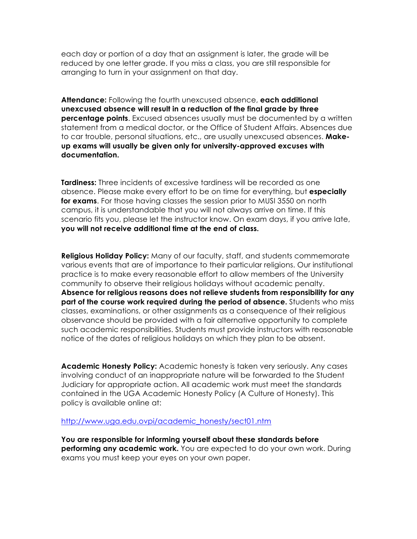each day or portion of a day that an assignment is later, the grade will be reduced by one letter grade. If you miss a class, you are still responsible for arranging to turn in your assignment on that day.

**Attendance:** Following the fourth unexcused absence, **each additional unexcused absence will result in a reduction of the final grade by three percentage points**. Excused absences usually must be documented by a written statement from a medical doctor, or the Office of Student Affairs. Absences due to car trouble, personal situations, etc., are usually unexcused absences. **Makeup exams will usually be given only for university-approved excuses with documentation.**

**Tardiness:** Three incidents of excessive tardiness will be recorded as one absence. Please make every effort to be on time for everything, but **especially for exams**. For those having classes the session prior to MUSI 3550 on north campus, it is understandable that you will not always arrive on time. If this scenario fits you, please let the instructor know. On exam days, if you arrive late, **you will not receive additional time at the end of class.**

**Religious Holiday Policy:** Many of our faculty, staff, and students commemorate various events that are of importance to their particular religions. Our institutional practice is to make every reasonable effort to allow members of the University community to observe their religious holidays without academic penalty. **Absence for religious reasons does not relieve students from responsibility for any part of the course work required during the period of absence.** Students who miss classes, examinations, or other assignments as a consequence of their religious observance should be provided with a fair alternative opportunity to complete such academic responsibilities. Students must provide instructors with reasonable notice of the dates of religious holidays on which they plan to be absent.

**Academic Honesty Policy:** Academic honesty is taken very seriously. Any cases involving conduct of an inappropriate nature will be forwarded to the Student Judiciary for appropriate action. All academic work must meet the standards contained in the UGA Academic Honesty Policy (A Culture of Honesty). This policy is available online at:

http://www.uga.edu.ovpi/academic\_honesty/sect01.ntm

**You are responsible for informing yourself about these standards before performing any academic work.** You are expected to do your own work. During exams you must keep your eyes on your own paper.